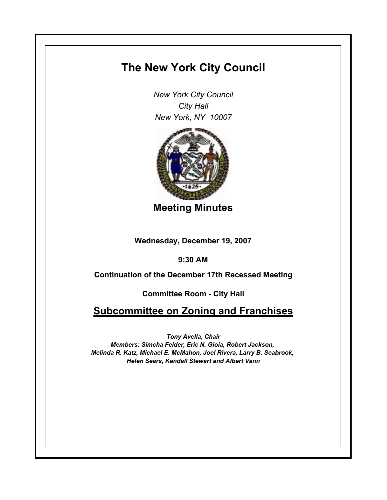## **The New York City Council**

*New York City Council City Hall New York, NY 10007*



**Meeting Minutes**

**Wednesday, December 19, 2007**

**9:30 AM**

**Continuation of the December 17th Recessed Meeting**

**Committee Room - City Hall**

**Subcommittee on Zoning and Franchises**

*Tony Avella, Chair*

*Members: Simcha Felder, Eric N. Gioia, Robert Jackson, Melinda R. Katz, Michael E. McMahon, Joel Rivera, Larry B. Seabrook, Helen Sears, Kendall Stewart and Albert Vann*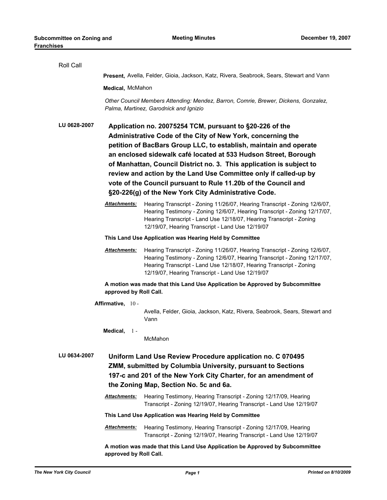| Roll Call                                                                                                                                                                                                                                              |                                                                                                                                         |                                                                                                                                                                                                                                                                                    |  |
|--------------------------------------------------------------------------------------------------------------------------------------------------------------------------------------------------------------------------------------------------------|-----------------------------------------------------------------------------------------------------------------------------------------|------------------------------------------------------------------------------------------------------------------------------------------------------------------------------------------------------------------------------------------------------------------------------------|--|
|                                                                                                                                                                                                                                                        | <b>Present, Avella, Felder, Gioia, Jackson, Katz, Rivera, Seabrook, Sears, Stewart and Vann</b>                                         |                                                                                                                                                                                                                                                                                    |  |
|                                                                                                                                                                                                                                                        | Medical, McMahon                                                                                                                        |                                                                                                                                                                                                                                                                                    |  |
|                                                                                                                                                                                                                                                        | Other Council Members Attending: Mendez, Barron, Comrie, Brewer, Dickens, Gonzalez,<br>Palma, Martinez, Garodnick and Ignizio           |                                                                                                                                                                                                                                                                                    |  |
| LU 0628-2007                                                                                                                                                                                                                                           | Application no. 20075254 TCM, pursuant to §20-226 of the                                                                                |                                                                                                                                                                                                                                                                                    |  |
|                                                                                                                                                                                                                                                        | Administrative Code of the City of New York, concerning the                                                                             |                                                                                                                                                                                                                                                                                    |  |
|                                                                                                                                                                                                                                                        | petition of BacBars Group LLC, to establish, maintain and operate                                                                       |                                                                                                                                                                                                                                                                                    |  |
|                                                                                                                                                                                                                                                        | an enclosed sidewalk café located at 533 Hudson Street, Borough<br>of Manhattan, Council District no. 3. This application is subject to |                                                                                                                                                                                                                                                                                    |  |
|                                                                                                                                                                                                                                                        | review and action by the Land Use Committee only if called-up by                                                                        |                                                                                                                                                                                                                                                                                    |  |
|                                                                                                                                                                                                                                                        | vote of the Council pursuant to Rule 11.20b of the Council and                                                                          |                                                                                                                                                                                                                                                                                    |  |
|                                                                                                                                                                                                                                                        | §20-226(g) of the New York City Administrative Code.                                                                                    |                                                                                                                                                                                                                                                                                    |  |
|                                                                                                                                                                                                                                                        | Attachments:                                                                                                                            | Hearing Transcript - Zoning 11/26/07, Hearing Transcript - Zoning 12/6/07,<br>Hearing Testimony - Zoning 12/6/07, Hearing Transcript - Zoning 12/17/07,<br>Hearing Transcript - Land Use 12/18/07, Hearing Transcript - Zoning<br>12/19/07, Hearing Transcript - Land Use 12/19/07 |  |
|                                                                                                                                                                                                                                                        | This Land Use Application was Hearing Held by Committee                                                                                 |                                                                                                                                                                                                                                                                                    |  |
|                                                                                                                                                                                                                                                        | Attachments:                                                                                                                            | Hearing Transcript - Zoning 11/26/07, Hearing Transcript - Zoning 12/6/07,<br>Hearing Testimony - Zoning 12/6/07, Hearing Transcript - Zoning 12/17/07,<br>Hearing Transcript - Land Use 12/18/07, Hearing Transcript - Zoning<br>12/19/07, Hearing Transcript - Land Use 12/19/07 |  |
|                                                                                                                                                                                                                                                        | A motion was made that this Land Use Application be Approved by Subcommittee<br>approved by Roll Call.                                  |                                                                                                                                                                                                                                                                                    |  |
| Affirmative, 10 -                                                                                                                                                                                                                                      |                                                                                                                                         |                                                                                                                                                                                                                                                                                    |  |
|                                                                                                                                                                                                                                                        |                                                                                                                                         | Avella, Felder, Gioia, Jackson, Katz, Rivera, Seabrook, Sears, Stewart and<br>Vann                                                                                                                                                                                                 |  |
|                                                                                                                                                                                                                                                        | Medical, $1 -$                                                                                                                          | McMahon                                                                                                                                                                                                                                                                            |  |
| LU 0634-2007<br>Uniform Land Use Review Procedure application no. C 070495<br>ZMM, submitted by Columbia University, pursuant to Sections<br>197-c and 201 of the New York City Charter, for an amendment of<br>the Zoning Map, Section No. 5c and 6a. |                                                                                                                                         |                                                                                                                                                                                                                                                                                    |  |
|                                                                                                                                                                                                                                                        | Attachments:                                                                                                                            | Hearing Testimony, Hearing Transcript - Zoning 12/17/09, Hearing<br>Transcript - Zoning 12/19/07, Hearing Transcript - Land Use 12/19/07                                                                                                                                           |  |
|                                                                                                                                                                                                                                                        | This Land Use Application was Hearing Held by Committee                                                                                 |                                                                                                                                                                                                                                                                                    |  |
|                                                                                                                                                                                                                                                        | <b>Attachments:</b>                                                                                                                     | Hearing Testimony, Hearing Transcript - Zoning 12/17/09, Hearing<br>Transcript - Zoning 12/19/07, Hearing Transcript - Land Use 12/19/07                                                                                                                                           |  |
|                                                                                                                                                                                                                                                        | approved by Roll Call.                                                                                                                  | A motion was made that this Land Use Application be Approved by Subcommittee                                                                                                                                                                                                       |  |